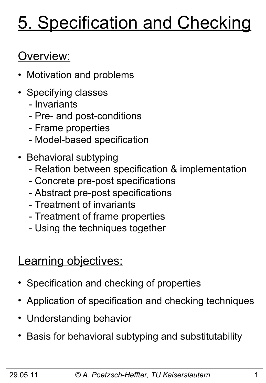# 5. Specification and Checking

# Overview:

- Motivation and problems
- Specifying classes
	- Invariants
	- Pre- and post-conditions
	- Frame properties
	- Model-based specification
- Behavioral subtyping
	- Relation between specification & implementation
	- Concrete pre-post specifications
	- Abstract pre-post specifications
	- Treatment of invariants
	- Treatment of frame properties
	- Using the techniques together

### **Learning objectives:**

- Specification and checking of properties
- Application of specification and checking techniques
- Understanding behavior
- Basis for behavioral subtyping and substitutability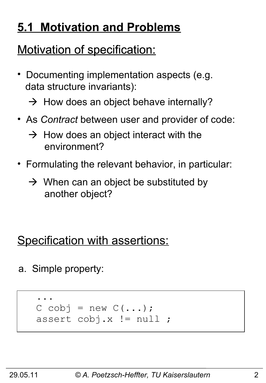# **5.1 Motivation and Problems**

# Motivation of specification:

- Documenting implementation aspects (e.g. data structure invariants):
	- $\rightarrow$  How does an object behave internally?
- As *Contract* between user and provider of code:
	- $\rightarrow$  How does an object interact with the environment?
- Formulating the relevant behavior, in particular:
	- $\rightarrow$  When can an object be substituted by another object?

### Specification with assertions:

a. Simple property:

```
 ...
   C cobj = new C(\ldots); assert cobj.x != null ;
```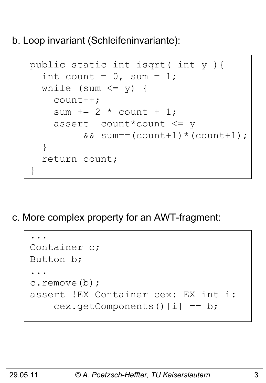b. Loop invariant (Schleifeninvariante):

```
 public static int isqrt( int y ){
      int count = 0, sum = 1;
      while (sum \leq y) {
          count++;
         sum += 2 * count + 1; assert count*count <= y 
                &\&\; sum = (count + 1) * (count + 1);\begin{pmatrix} 1 & 1 \\ 1 & 1 \end{pmatrix} return count;
     }
```
c. More complex property for an AWT-fragment:

```
 ...
    Container c;
   Button b;
 ...
    c.remove(b);
    assert !EX Container cex: EX int i:
       cex.getComponents()[i] == b;
```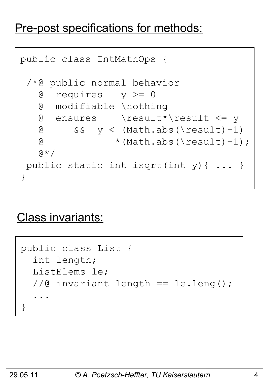#### Pre-post specifications for methods:

```
public class IntMathOps {
 /*@ public normal_behavior
    @ requires y >= 0
    @ modifiable \nothing
    @ ensures \result*\result <= y
   \theta && y < (Math.abs(\result)+1)\textcircled{t} * (Math.abs(\result)+1);
   \alpha \star /public static int isqrt(int y){ ... }
}
```
#### Class invariants:

```
public class List {
    int length;
    ListElems le;
    //@ invariant length == le.leng();
 ...
 }
```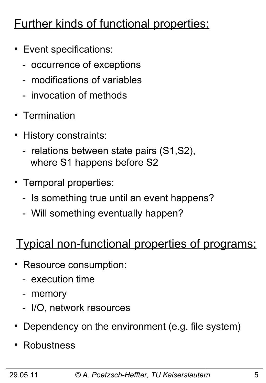# Further kinds of functional properties:

- Event specifications:
	- occurrence of exceptions
	- modifications of variables
	- invocation of methods
- Termination
- History constraints:
	- relations between state pairs (S1,S2), where S1 happens before S2
- Temporal properties:
	- Is something true until an event happens?
	- Will something eventually happen?

### Typical non-functional properties of programs:

- Resource consumption:
	- execution time
	- memory
	- I/O, network resources
- Dependency on the environment (e.g. file system)
- **Robustness**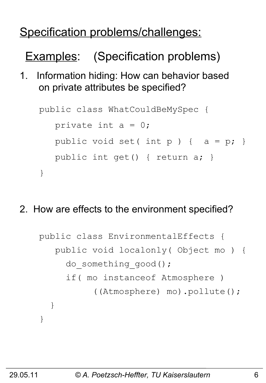### Specification problems/challenges:

Examples: (Specification problems)

1. Information hiding: How can behavior based on private attributes be specified?

```
public class WhatCouldBeMySpec {
   private int a = 0;
   public void set( int p ) { a = p; }
    public int get() { return a; }
}
```
2. How are effects to the environment specified?

```
public class EnvironmentalEffects {
    public void localonly( Object mo ) {
     do something good();
      if( mo instanceof Atmosphere )
            ((Atmosphere) mo).pollute();
   }
}
```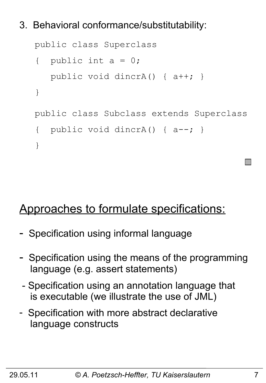#### 3. Behavioral conformance/substitutability:

```
public class Superclass 
{ public int a = 0;
    public void dincrA() { a++; }
}
public class Subclass extends Superclass
{ public void dincrA() { a--; }
}
```
#### Approaches to formulate specifications:

- Specification using informal language
- Specification using the means of the programming language (e.g. assert statements)
- Specification using an annotation language that is executable (we illustrate the use of JML)
- Specification with more abstract declarative language constructs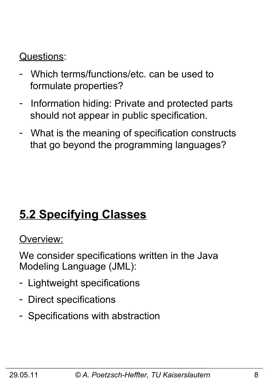#### Questions:

- Which terms/functions/etc. can be used to formulate properties?
- Information hiding: Private and protected parts should not appear in public specification.
- What is the meaning of specification constructs that go beyond the programming languages?

# **5.2 Specifying Classes**

#### Overview:

We consider specifications written in the Java Modeling Language (JML):

- Lightweight specifications
- Direct specifications
- Specifications with abstraction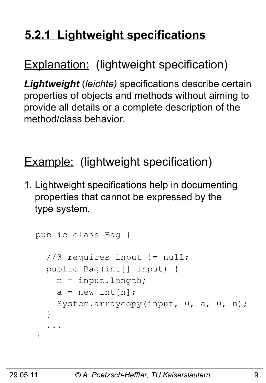# **5.2.1 Lightweight specifications**

### Explanation: (lightweight specification)

*Lightweight* (*leichte)* specifications describe certain properties of objects and methods without aiming to provide all details or a complete description of the method/class behavior.

### Example: (lightweight specification)

1. Lightweight specifications help in documenting properties that cannot be expressed by the type system.

```
public class Bag {
   //@ requires input != null;
   public Bag(int[] input) {
    n = input.length;a = new int[n]; System.arraycopy(input, 0, a, 0, n);
   }
 ...
}
```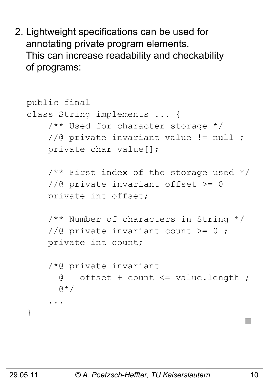2. Lightweight specifications can be used for annotating private program elements. This can increase readability and checkability of programs:

```
public final
class String implements ... {
     /** Used for character storage */
     //@ private invariant value != null ;
     private char value[];
    /** First index of the storage used */ //@ private invariant offset >= 0
     private int offset;
     /** Number of characters in String */
    //@ private invariant count >= 0;
     private int count;
     /*@ private invariant 
       @ offset + count <= value.length ;
      (4 \times 1) ...
}
```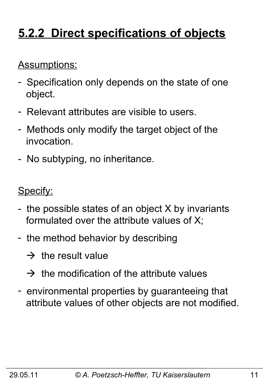# **5.2.2 Direct specifications of objects**

#### Assumptions:

- Specification only depends on the state of one object.
- Relevant attributes are visible to users.
- Methods only modify the target object of the invocation.
- No subtyping, no inheritance.

Specify:

- the possible states of an object X by invariants formulated over the attribute values of X;
- the method behavior by describing
	- $\rightarrow$  the result value
	- $\rightarrow$  the modification of the attribute values
- environmental properties by guaranteeing that attribute values of other objects are not modified.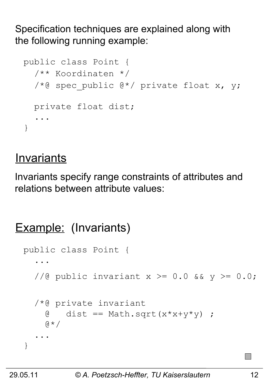Specification techniques are explained along with the following running example:

```
public class Point {
   /** Koordinaten */
  /*@ spec public @*/ private float x, y;
   private float dist;
 ...
}
```
#### **Invariants**

Invariants specify range constraints of attributes and relations between attribute values:

```
Example: (Invariants)
 public class Point {
  ...
    //@ public invariant x \ge 0.0 && y \ge 0.0;
     /*@ private invariant 
      \theta dist == Math.sqrt(x*x+y*y) ;
      \alpha \star / ...
  }
```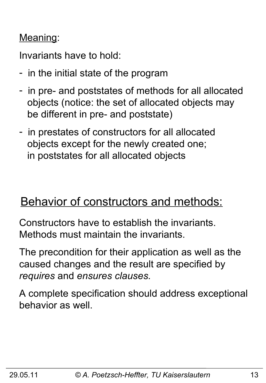#### Meaning:

Invariants have to hold:

- in the initial state of the program
- in pre- and poststates of methods for all allocated objects (notice: the set of allocated objects may be different in pre- and poststate)
- in prestates of constructors for all allocated objects except for the newly created one; in poststates for all allocated objects

### Behavior of constructors and methods:

Constructors have to establish the invariants. Methods must maintain the invariants.

The precondition for their application as well as the caused changes and the result are specified by *requires* and *ensures clauses.* 

A complete specification should address exceptional behavior as well.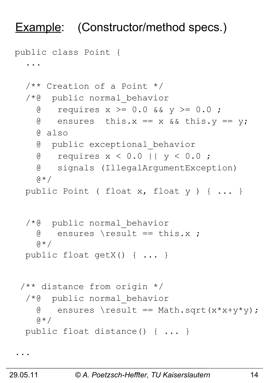### Example: (Constructor/method specs.)

```
public class Point {
 ... 
   /** Creation of a Point */
   /*@ public normal_behavior
    \theta requires x >= 0.0 && y >= 0.0;
    \theta ensures this.x == x && this.y == y;
     @ also
     @ public exceptional_behavior
     @ requires x < 0.0 || y < 0.0 ;
     @ signals (IllegalArgumentException)
    (A \star \beta) public Point ( float x, float y ) { ... }
   /*@ public normal_behavior
    \theta ensures \result == this.x ;
    \alpha \star / public float getX() { ... }
 /** distance from origin */
   /*@ public normal_behavior
    \theta ensures \result == Math.sqrt(x*x+y*y);
     @*/
   public float distance() { ... }
```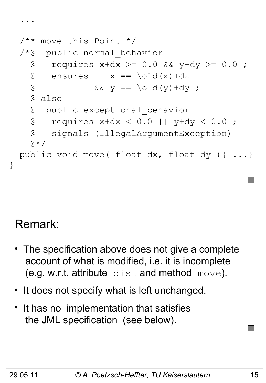```
 /** move this Point */
 /*@ public normal_behavior
  \theta requires x+dx >= 0.0 && y+dy >= 0.0;
  \theta ensures x == \text{old}(x) + dx& \& \& \vee = \setminus \text{old}(y) + dy; @ also
   @ public exceptional_behavior
   @ requires x+dx < 0.0 || y+dy < 0.0 ;
   @ signals (IllegalArgumentException)
  \theta \star / public void move( float dx, float dy ){ ...}
```
# Remark:

}

...

- The specification above does not give a complete account of what is modified, i.e. it is incomplete (e.g. w.r.t. attribute dist and method move).
- It does not specify what is left unchanged.
- It has no implementation that satisfies the JML specification (see below).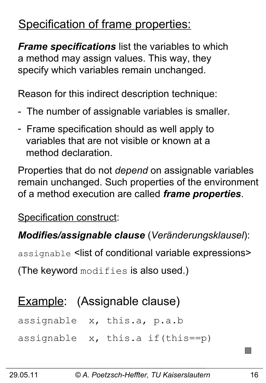### Specification of frame properties:

*Frame specifications* list the variables to which a method may assign values. This way, they specify which variables remain unchanged.

Reason for this indirect description technique:

- The number of assignable variables is smaller.
- Frame specification should as well apply to variables that are not visible or known at a method declaration.

Properties that do not *depend* on assignable variables remain unchanged. Such properties of the environment of a method execution are called *frame properties*.

Specification construct:

#### *Modifies/assignable clause* (*Veränderungsklausel*):

assignable <list of conditional variable expressions>

(The keyword modifies is also used.)

### Example: (Assignable clause)

assignable x, this.a, p.a.b

assignable x, this.a if(this==p)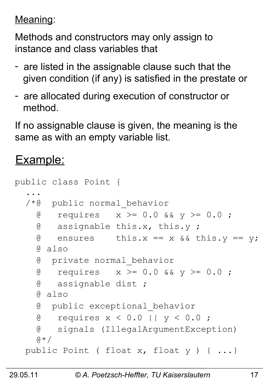Meaning:

Methods and constructors may only assign to instance and class variables that

- are listed in the assignable clause such that the given condition (if any) is satisfied in the prestate or
- are allocated during execution of constructor or method.

If no assignable clause is given, the meaning is the same as with an empty variable list.

#### Example:

|                                                  | public class Point { |                                          |
|--------------------------------------------------|----------------------|------------------------------------------|
|                                                  |                      |                                          |
|                                                  |                      | /*@ public normal behavior               |
|                                                  |                      | @ requires $x \ge 0.0$ & & $y \ge 0.0$ ; |
|                                                  |                      | @ assignable this.x, this.y;             |
| G                                                |                      | ensures this.x == $x$ & this.y == $y$ ;  |
| @ also                                           |                      |                                          |
| <b>@</b>                                         |                      | private normal behavior                  |
| g                                                |                      | requires $x \ge 0.0$ & $y \ge 0.0$ ;     |
| g                                                | assignable dist ;    |                                          |
| @ also                                           |                      |                                          |
| G                                                |                      | public exceptional behavior              |
| G.                                               |                      | requires $x < 0.0$    $y < 0.0$ ;        |
| G.                                               |                      | signals (IllegalArgumentException)       |
| $\theta \star /$                                 |                      |                                          |
| public Point ( float x, float y ) $\{ \ldots \}$ |                      |                                          |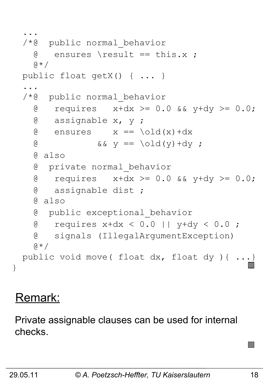```
 ... 
   /*@ public normal_behavior
    \theta ensures \result == this.x ;
    (A \star \beta) public float getX() { ... }
 ...
   /*@ public normal_behavior
    \alpha requires x+dx >= 0.0 && y+dy >= 0.0;
     @ assignable x, y ;
    \theta ensures x == \text{old}(x) + dx@ \qquad \qquad \&\& \qquad y == \text{old}(y) + dy ; @ also
     @ private normal_behavior
    \theta requires x+dx >= 0.0 && y+dy >= 0.0;
     @ assignable dist ;
     @ also
     @ public exceptional_behavior
     @ requires x+dx < 0.0 || y+dy < 0.0 ;
     @ signals (IllegalArgumentException)
    \mathfrak{g} \star / public void move( float dx, float dy ){ ...}
```
#### Remark:

}

Private assignable clauses can be used for internal checks.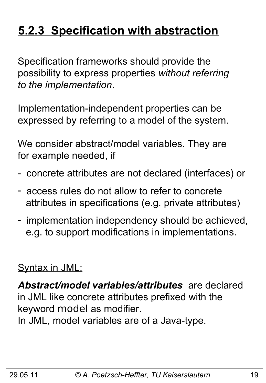# **5.2.3 Specification with abstraction**

Specification frameworks should provide the possibility to express properties *without referring to the implementation*.

Implementation-independent properties can be expressed by referring to a model of the system.

We consider abstract/model variables. They are for example needed, if

- concrete attributes are not declared (interfaces) or
- access rules do not allow to refer to concrete attributes in specifications (e.g. private attributes)
- implementation independency should be achieved, e.g. to support modifications in implementations.

#### Syntax in JML:

*Abstract/model variables/attributes* are declared in JML like concrete attributes prefixed with the keyword model as modifier.

In JML, model variables are of a Java-type.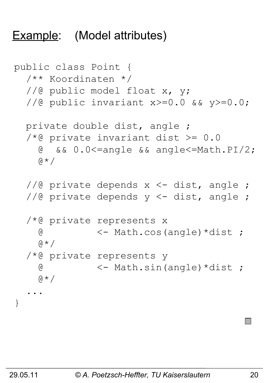#### Example: (Model attributes)

```
public class Point {
   /** Koordinaten */
  //@ public model float x, y;
   //@ public invariant x>=0.0 && y>=0.0;
   private double dist, angle ;
  /*@ private invariant dist >= 0.0 @ && 0.0<=angle && angle<=Math.PI/2;
    \alpha \star /1/2 private depends x <- dist, angle ;
  1/10 private depends y <- dist, angle ;
   /*@ private represents x 
     @ <- Math.cos(angle)*dist ; 
    \alpha \star / /*@ private represents y
     @ <- Math.sin(angle)*dist ; 
    a \star / ...
}
```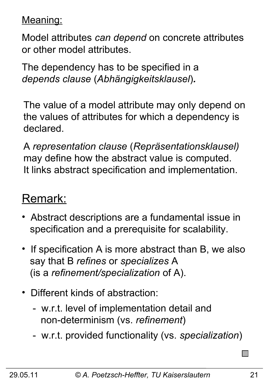Meaning:

Model attributes *can depend* on concrete attributes or other model attributes.

The dependency has to be specified in a *depends clause* (*Abhängigkeitsklausel*)*.*

The value of a model attribute may only depend on the values of attributes for which a dependency is declared.

A *representation clause* (*Repräsentationsklausel)* may define how the abstract value is computed. It links abstract specification and implementation.

#### Remark:

- Abstract descriptions are a fundamental issue in specification and a prerequisite for scalability.
- If specification A is more abstract than B, we also say that B *refines* or *specializes* A (is a *refinement/specialization* of A).
- Different kinds of abstraction:
	- w.r.t. level of implementation detail and non-determinism (vs. *refinement*)
	- w.r.t. provided functionality (vs. *specialization*)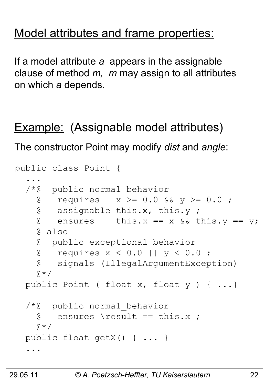#### Model attributes and frame properties:

If a model attribute *a* appears in the assignable clause of method *m, m* may assign to all attributes on which *a* depends.

### Example: (Assignable model attributes)

The constructor Point may modify *dist* and *angle*:

```
public class Point {
 ... 
   /*@ public normal_behavior
    \alpha requires x \ge 0.0 & y \ge 0.0;
     @ assignable this.x, this.y ;
    \theta ensures this.x == x && this.y == y;
     @ also 
     @ public exceptional_behavior
     @ requires x < 0.0 || y < 0.0 ;
     @ signals (IllegalArgumentException)
    (4 \times 1) public Point ( float x, float y ) { ...}
   /*@ public normal_behavior
     @ ensures \result == this.x ;
    \mathfrak{g} \star / public float getX() { ... }
 ...
```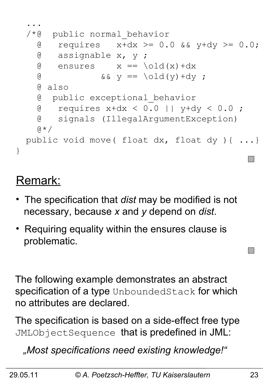

#### Remark:

- The specification that *dist* may be modified is not necessary, because *x* and *y* depend on *dist*.
- Requiring equality within the ensures clause is problematic.

The following example demonstrates an abstract specification of a type UnboundedStack for which no attributes are declared.

The specification is based on a side-effect free type JMLObjectSequence that is predefined in JML:

 *"Most specifications need existing knowledge!"*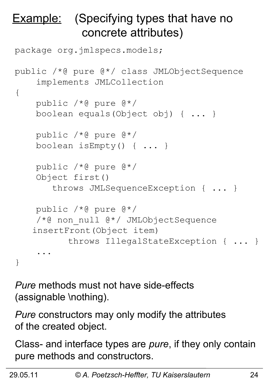### **Example:** (Specifying types that have no concrete attributes)

```
package org.jmlspecs.models;
public /*@ pure @*/ class JMLObjectSequence
     implements JMLCollection
{
     public /*@ pure @*/ 
     boolean equals(Object obj) { ... } 
     public /*@ pure @*/ 
     boolean isEmpty() { ... }
     public /*@ pure @*/ 
     Object first() 
        throws JMLSequenceException { ... }
     public /*@ pure @*/ 
    /*@ non null @*/ JMLObjectSequence
   insertFront(Object item) 
            throws IllegalStateException { ... }
     ...
}
```
*Pure* methods must not have side-effects (assignable \nothing).

*Pure* constructors may only modify the attributes of the created object.

Class- and interface types are *pure*, if they only contain pure methods and constructors.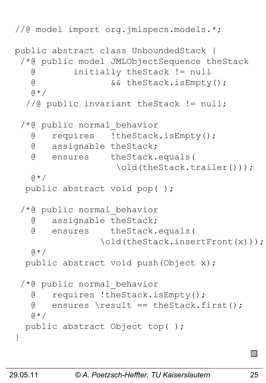```
//@ model import org.jmlspecs.models.*;
public abstract class UnboundedStack {
 /*@ public model JMLObjectSequence theStack
    @ initially theStack != null 
    @ && theStack.isEmpty();
   \mathfrak{g} \star ///@ public invariant theStack != null;
 /*@ public normal_behavior
    @ requires !theStack.isEmpty();
    @ assignable theStack;
    @ ensures theStack.equals(
                    \old(theStack.trailer()));
   \alpha \star / public abstract void pop( );
 /*@ public normal_behavior
    @ assignable theStack;
    @ ensures theStack.equals(
                 \old(theStack.insertFront(x)));
   \theta \star / public abstract void push(Object x);
 /*@ public normal_behavior
    @ requires !theStack.isEmpty();
   \theta ensures \result == theStack.first();
   \mathfrak{g} \star / public abstract Object top( );
}
```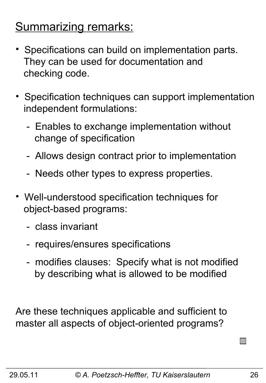### Summarizing remarks:

- Specifications can build on implementation parts. They can be used for documentation and checking code.
- Specification techniques can support implementation independent formulations:
	- Enables to exchange implementation without change of specification
	- Allows design contract prior to implementation
	- Needs other types to express properties.
- Well-understood specification techniques for object-based programs:
	- class invariant
	- requires/ensures specifications
	- modifies clauses: Specify what is not modified by describing what is allowed to be modified

Are these techniques applicable and sufficient to master all aspects of object-oriented programs?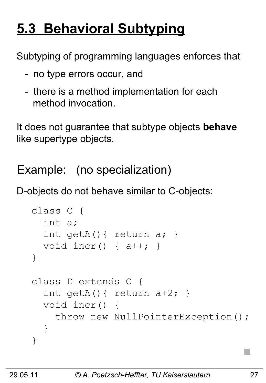# **5.3 Behavioral Subtyping**

Subtyping of programming languages enforces that

- no type errors occur, and
- there is a method implementation for each method invocation.

It does not guarantee that subtype objects **behave** like supertype objects.

Example: (no specialization)

D-objects do not behave similar to C-objects:

```
class C {
   int a;
   int getA(){ return a; } 
   void incr() { a++; } 
}
class D extends C {
  int getA() { return a+2; }
   void incr() { 
     throw new NullPointerException();
   }
}
```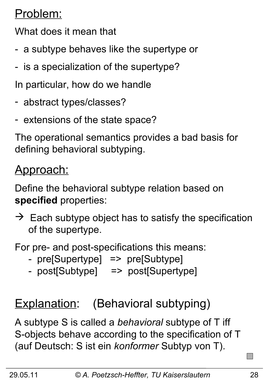### Problem:

What does it mean that

- a subtype behaves like the supertype or
- is a specialization of the supertype?
- In particular, how do we handle
- abstract types/classes?
- extensions of the state space?

The operational semantics provides a bad basis for defining behavioral subtyping.

### Approach:

Define the behavioral subtype relation based on **specified** properties:

 $\rightarrow$  Each subtype object has to satisfy the specification of the supertype.

For pre- and post-specifications this means:

- pre[Supertype] => pre[Subtype]
- post[Subtype] => post[Supertype]

# Explanation: (Behavioral subtyping)

A subtype S is called a *behavioral* subtype of T iff S-objects behave according to the specification of T (auf Deutsch: S ist ein *konformer* Subtyp von T).

**I**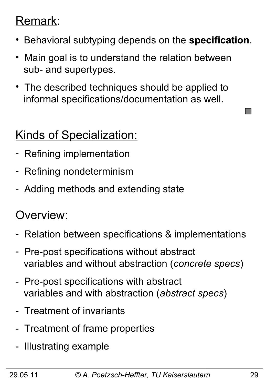#### Remark:

- Behavioral subtyping depends on the **specification**.
- Main goal is to understand the relation between sub- and supertypes.
- The described techniques should be applied to informal specifications/documentation as well.

### Kinds of Specialization:

- Refining implementation
- Refining nondeterminism
- Adding methods and extending state

#### Overview:

- Relation between specifications & implementations
- Pre-post specifications without abstract variables and without abstraction (*concrete specs*)
- Pre-post specifications with abstract variables and with abstraction (*abstract specs*)
- Treatment of invariants
- Treatment of frame properties
- Illustrating example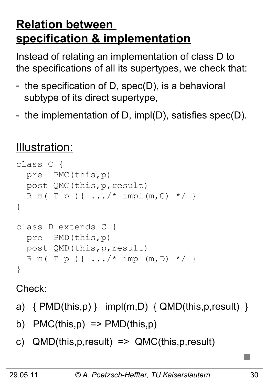### **Relation between specification & implementation**

Instead of relating an implementation of class D to the specifications of all its supertypes, we check that:

- the specification of D, spec(D), is a behavioral subtype of its direct supertype,
- the implementation of D, impl(D), satisfies spec(D).

### Illustration:

```
class C { 
   pre PMC(this,p)
   post QMC(this,p,result)
  R m ( T p ) { .../ * impl (m, C) */ }
}
class D extends C { 
   pre PMD(this,p)
   post QMD(this,p,result)
  R m ( T p ) { ... / * impl (m, D) */ }
}
```
Check:

- a)  $\{ PMD(this, p) \}$  impl(m,D)  $\{ QMD(this, p, result) \}$
- b)  $PMC(this,p) \Rightarrow PMD(this,p)$
- c) QMD(this,p,result) => QMC(this,p,result)

 $\Box$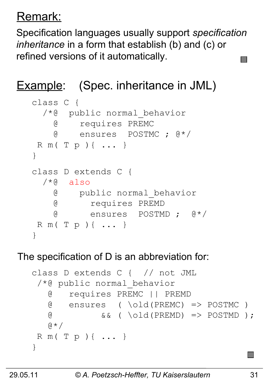### Remark:

Specification languages usually support *specification inheritance* in a form that establish (b) and (c) or refined versions of it automatically.

### Example: (Spec. inheritance in JML)

```
class C { 
  /*@ public normal_behavior
     @ requires PREMC
     @ ensures POSTMC ; @*/
R m( T p ){ ... }
}
class D extends C { 
 /*@ also
     @ public normal_behavior
    @ requires PREMD
    @ ensures POSTMD ; @*/
R m( T p ){ ... }
}
```
#### The specification of D is an abbreviation for:

```
class D extends C { // not JML 
 /*@ public normal_behavior 
    @ requires PREMC || PREMD
    @ ensures ( \old(PREMC) => POSTMC )
    @ && ( \old(PREMD) => POSTMD );
   \beta \star /R m( T p ){ ... }
}
```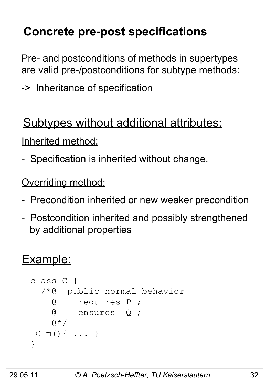# **Concrete pre-post specifications**

Pre- and postconditions of methods in supertypes are valid pre-/postconditions for subtype methods:

-> Inheritance of specification

### Subtypes without additional attributes:

Inherited method:

- Specification is inherited without change.

**Overriding method:** 

- Precondition inherited or new weaker precondition
- Postcondition inherited and possibly strengthened by additional properties

### Example:

```
class C { 
   /*@ public normal_behavior
     @ requires P ;
     @ ensures Q ;
    \alpha \star /C m(){ ... }
}
```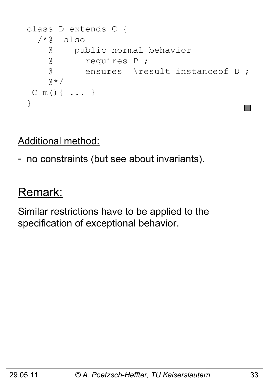```
class D extends C { 
  /*@ also
     @ public normal_behavior
     @ requires P ;
     @ ensures \result instanceof D ;
    \alpha \star /C m(){ ... }
}
```
Additional method:

- no constraints (but see about invariants).

#### Remark:

Similar restrictions have to be applied to the specification of exceptional behavior.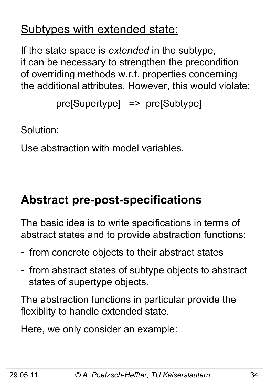### Subtypes with extended state:

If the state space is *extended* in the subtype, it can be necessary to strengthen the precondition of overriding methods w.r.t. properties concerning the additional attributes. However, this would violate:

```
 pre[Supertype] => pre[Subtype]
```
Solution:

Use abstraction with model variables.

# **Abstract pre-post-specifications**

The basic idea is to write specifications in terms of abstract states and to provide abstraction functions:

- from concrete objects to their abstract states
- from abstract states of subtype objects to abstract states of supertype objects.

The abstraction functions in particular provide the flexiblity to handle extended state.

Here, we only consider an example: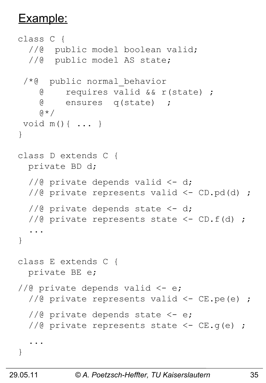#### Example:

```
class C { 
  //@ public model boolean valid;
   //@ public model AS state;
 /*@ public normal_behavior
     @ requires valid && r(state) ;
     @ ensures q(state) ;
    \alpha \star /void m(){ ... }
}
class D extends C { 
   private BD d;
  //@ private depends valid \langle -d \rangle//@ private represents valid <- CD.pd(d) ;
  //@ private depends state <-d;
  //@ private represents state \langle -CD.f(d) \rangle;
 ...
}
class E extends C { 
   private BE e;
//@ private depends valid \leq e;
  //@ private represents valid <- CE.pe(e) ;
  1/10 private depends state \leq -e;
  //@ private represents state \leq - CE.q(e) ;
 ...
}
```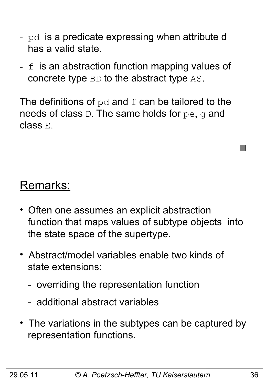- pd is a predicate expressing when attribute d has a valid state.
- $f$  is an abstraction function mapping values of concrete type BD to the abstract type AS.

The definitions of  $pd$  and  $f$  can be tailored to the needs of class D. The same holds for pe, g and class E.

#### Remarks:

- Often one assumes an explicit abstraction function that maps values of subtype objects into the state space of the supertype.
- Abstract/model variables enable two kinds of state extensions:
	- overriding the representation function
	- additional abstract variables
- The variations in the subtypes can be captured by representation functions.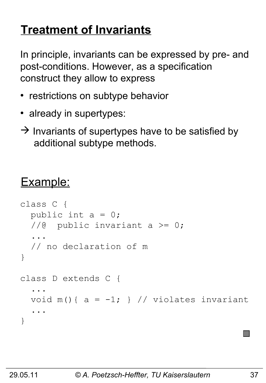### **Treatment of Invariants**

In principle, invariants can be expressed by pre- and post-conditions. However, as a specification construct they allow to express

- restrictions on subtype behavior
- already in supertypes:
- $\rightarrow$  Invariants of supertypes have to be satisfied by additional subtype methods.

### Example:

```
class C { 
  public int a = 0;
  //@ public invariant a >= 0; ...
   // no declaration of m
}
class D extends C { 
 ...
  void m() { a = -1; } // violates invariant
 ...
}
```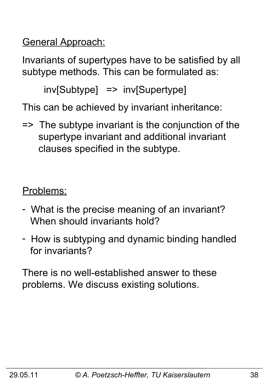General Approach:

Invariants of supertypes have to be satisfied by all subtype methods. This can be formulated as:

inv[Subtype] => inv[Supertype]

This can be achieved by invariant inheritance:

=> The subtype invariant is the conjunction of the supertype invariant and additional invariant clauses specified in the subtype.

Problems:

- What is the precise meaning of an invariant? When should invariants hold?
- How is subtyping and dynamic binding handled for invariants?

There is no well-established answer to these problems. We discuss existing solutions.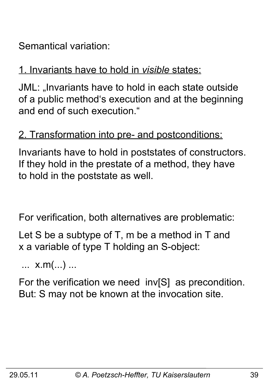Semantical variation:

#### 1. Invariants have to hold in *visible* states:

JML: "Invariants have to hold in each state outside of a public method's execution and at the beginning and end of such execution."

#### 2. Transformation into pre- and postconditions:

Invariants have to hold in poststates of constructors. If they hold in the prestate of a method, they have to hold in the poststate as well.

For verification, both alternatives are problematic:

Let S be a subtype of T, m be a method in T and x a variable of type T holding an S-object:

... x.m(...) ...

For the verification we need inv[S] as precondition. But: S may not be known at the invocation site.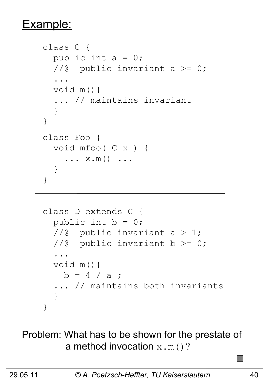#### Example:

```
class C { 
  public int a = 0;
  //@ public invariant a >= 0;
   ...
   void m(){ 
   ... // maintains invariant
   } 
}
class Foo { 
   void mfoo( C x ) {
    \ldots x.m() \ldots }
}
```

```
class D extends C { 
  public int b = 0;
  1/@ public invariant a > 1;
  //@ public invariant b >= 0;
   ...
   void m(){ 
   b = 4 / a;
   ... // maintains both invariants
   }
}
```
Problem: What has to be shown for the prestate of a method invocation  $x \cdot m$  ()?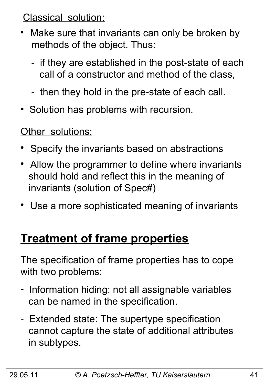Classical solution:

- Make sure that invariants can only be broken by methods of the object. Thus:
	- if they are established in the post-state of each call of a constructor and method of the class,
	- then they hold in the pre-state of each call.
- Solution has problems with recursion.

Other solutions:

- Specify the invariants based on abstractions
- Allow the programmer to define where invariants should hold and reflect this in the meaning of invariants (solution of Spec#)
- Use a more sophisticated meaning of invariants

### **Treatment of frame properties**

The specification of frame properties has to cope with two problems:

- Information hiding: not all assignable variables can be named in the specification.
- Extended state: The supertype specification cannot capture the state of additional attributes in subtypes.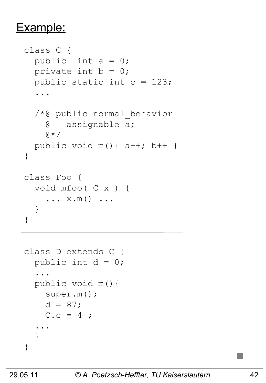#### Example:

```
class C { 
  public int a = 0;
  private int b = 0;
  public static int c = 123;
   ...
   /*@ public normal_behavior
     @ assignable a;
    \theta \star /public void m() { a++; b++ }
}
class Foo { 
   void mfoo( C x ) {
    \ldots x.m() \ldots }
}
```

```
class D extends C { 
  public int d = 0;
   ...
   public void m(){ 
     super.m();
    d = 87;C.c = 4; ...
   }
}
```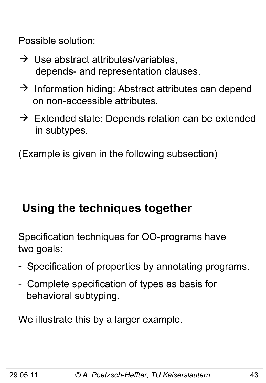Possible solution:

- $\rightarrow$  Use abstract attributes/variables, depends- and representation clauses.
- $\rightarrow$  Information hiding: Abstract attributes can depend on non-accessible attributes.
- $\rightarrow$  Extended state: Depends relation can be extended in subtypes.

(Example is given in the following subsection)

# **Using the techniques together**

Specification techniques for OO-programs have two goals:

- Specification of properties by annotating programs.
- Complete specification of types as basis for behavioral subtyping.

We illustrate this by a larger example.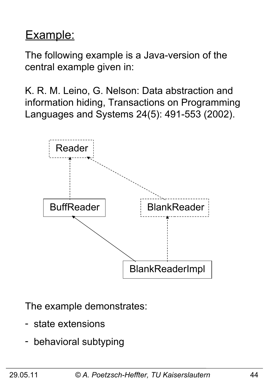### Example:

The following example is a Java-version of the central example given in:

K. R. M. Leino, G. Nelson: Data abstraction and information hiding, Transactions on Programming Languages and Systems 24(5): 491-553 (2002).



The example demonstrates:

- state extensions
- behavioral subtyping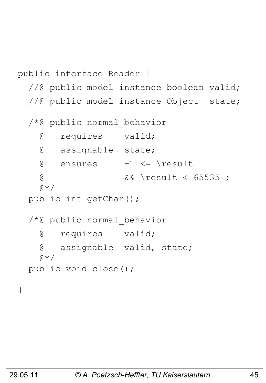```
public interface Reader {
  //@ public model instance boolean valid;
  //@ public model instance Object state;
   /*@ public normal_behavior
     @ requires valid;
     @ assignable state;
    \theta ensures -1 <= \result
     @ && \result < 65535 ;
    \alpha \star / public int getChar();
   /*@ public normal_behavior
     @ requires valid;
     @ assignable valid, state;
    \alpha \star / public void close();
}
```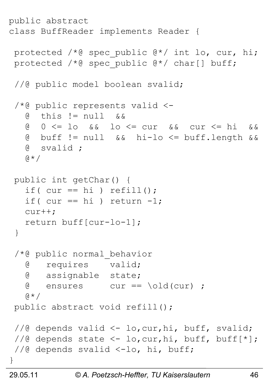```
public abstract 
class BuffReader implements Reader {
 protected /*@ spec public @*/ int lo, cur, hi;
protected /*@ spec_public @*/ char[] buff;
 //@ public model boolean svalid;
 /*@ public represents valid <-
   \alpha this != null \alpha \alpha @ 0 <= lo && lo <= cur && cur <= hi &&
    @ buff != null && hi-lo <= buff.length &&
    @ svalid ;
    @*/
 public int getChar() {
   if( cur == hi) refill();
   if( cur == hi) return -1;
    cur++;
    return buff[cur-lo-1];
 }
 /*@ public normal_behavior
    @ requires valid;
    @ assignable state;
   \theta ensures cur == \old(cur) ;
   \mathfrak{g} \star /public abstract void refill();
 //@ depends valid <- lo,cur,hi, buff, svalid;
 //@ depends state \langle -\right] lo, cur, hi, buff, buff[*];
 //@ depends svalid <-lo, hi, buff;
}
```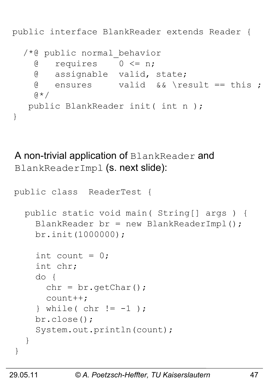public interface BlankReader extends Reader {

```
 /*@ public normal_behavior
  \theta requires 0 \le n;
   @ assignable valid, state;
  \theta ensures valid \& \result == this ;
  \mathfrak{g} \star / public BlankReader init( int n );
```
A non-trivial application of BlankReader and BlankReaderImpl (s. next slide):

```
public class ReaderTest {
   public static void main( String[] args ) {
    BlankReader br = new BlankReaderImpl();
     br.init(1000000);
    int count = 0;
     int chr;
     do {
      chr = br.getChar();
      count++;
    \} while( chr != -1 );
     br.close();
     System.out.println(count);
   } 
}
```
}